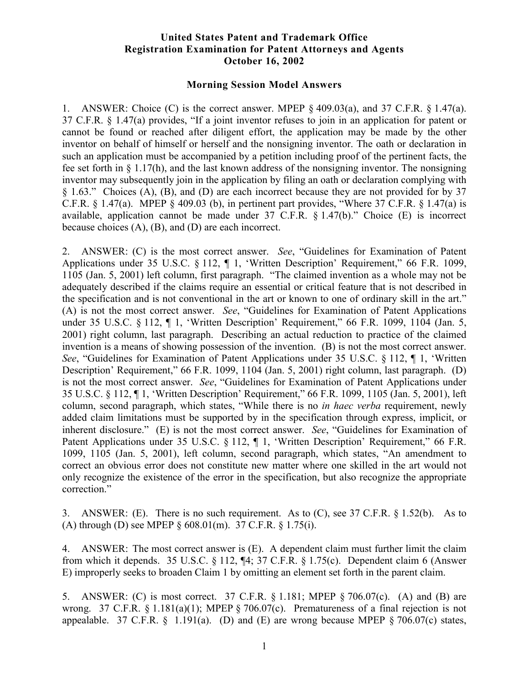## **United States Patent and Trademark Office Registration Examination for Patent Attorneys and Agents October 16, 2002**

## **Morning Session Model Answers**

1. ANSWER: Choice (C) is the correct answer. MPEP  $\S$  409.03(a), and 37 C.F.R.  $\S$  1.47(a). 37 C.F.R. § 1.47(a) provides, "If a joint inventor refuses to join in an application for patent or cannot be found or reached after diligent effort, the application may be made by the other inventor on behalf of himself or herself and the nonsigning inventor. The oath or declaration in such an application must be accompanied by a petition including proof of the pertinent facts, the fee set forth in § 1.17(h), and the last known address of the nonsigning inventor. The nonsigning inventor may subsequently join in the application by filing an oath or declaration complying with § 1.63." Choices (A), (B), and (D) are each incorrect because they are not provided for by 37 C.F.R.  $\S$  1.47(a). MPEP  $\S$  409.03 (b), in pertinent part provides, "Where 37 C.F.R.  $\S$  1.47(a) is available, application cannot be made under 37 C.F.R. § 1.47(b)." Choice (E) is incorrect because choices (A), (B), and (D) are each incorrect.

2. ANSWER: (C) is the most correct answer. *See*, "Guidelines for Examination of Patent Applications under 35 U.S.C. § 112, ¶ 1, 'Written Description' Requirement," 66 F.R. 1099, 1105 (Jan. 5, 2001) left column, first paragraph. "The claimed invention as a whole may not be adequately described if the claims require an essential or critical feature that is not described in the specification and is not conventional in the art or known to one of ordinary skill in the art." (A) is not the most correct answer. *See*, "Guidelines for Examination of Patent Applications under 35 U.S.C. § 112, ¶ 1, 'Written Description' Requirement," 66 F.R. 1099, 1104 (Jan. 5, 2001) right column, last paragraph. Describing an actual reduction to practice of the claimed invention is a means of showing possession of the invention. (B) is not the most correct answer. *See*, "Guidelines for Examination of Patent Applications under 35 U.S.C. § 112, ¶ 1, 'Written Description' Requirement," 66 F.R. 1099, 1104 (Jan. 5, 2001) right column, last paragraph. (D) is not the most correct answer. *See*, "Guidelines for Examination of Patent Applications under 35 U.S.C. § 112, ¶ 1, 'Written Description' Requirement," 66 F.R. 1099, 1105 (Jan. 5, 2001), left column, second paragraph, which states, "While there is no *in haec verba* requirement, newly added claim limitations must be supported by in the specification through express, implicit, or inherent disclosure." (E) is not the most correct answer. *See*, "Guidelines for Examination of Patent Applications under 35 U.S.C. § 112, ¶ 1, 'Written Description' Requirement," 66 F.R. 1099, 1105 (Jan. 5, 2001), left column, second paragraph, which states, "An amendment to correct an obvious error does not constitute new matter where one skilled in the art would not only recognize the existence of the error in the specification, but also recognize the appropriate correction."

3. ANSWER: (E). There is no such requirement. As to (C), see 37 C.F.R. § 1.52(b). As to (A) through (D) see MPEP § 608.01(m). 37 C.F.R. § 1.75(i).

4. ANSWER: The most correct answer is (E). A dependent claim must further limit the claim from which it depends. 35 U.S.C. § 112, ¶4; 37 C.F.R. § 1.75(c). Dependent claim 6 (Answer E) improperly seeks to broaden Claim 1 by omitting an element set forth in the parent claim.

5. ANSWER: (C) is most correct. 37 C.F.R. § 1.181; MPEP § 706.07(c). (A) and (B) are wrong. 37 C.F.R. § 1.181(a)(1); MPEP § 706.07(c). Prematureness of a final rejection is not appealable. 37 C.F.R.  $\S$  1.191(a). (D) and (E) are wrong because MPEP  $\S$  706.07(c) states,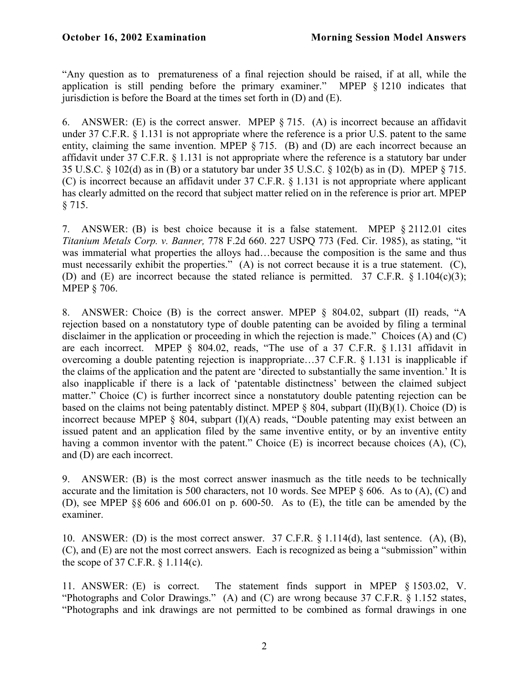"Any question as to prematureness of a final rejection should be raised, if at all, while the application is still pending before the primary examiner." MPEP § 1210 indicates that jurisdiction is before the Board at the times set forth in  $(D)$  and  $(E)$ .

6. ANSWER: (E) is the correct answer. MPEP § 715. (A) is incorrect because an affidavit under 37 C.F.R. § 1.131 is not appropriate where the reference is a prior U.S. patent to the same entity, claiming the same invention. MPEP § 715. (B) and (D) are each incorrect because an affidavit under 37 C.F.R. § 1.131 is not appropriate where the reference is a statutory bar under 35 U.S.C. § 102(d) as in (B) or a statutory bar under 35 U.S.C. § 102(b) as in (D). MPEP § 715. (C) is incorrect because an affidavit under 37 C.F.R. § 1.131 is not appropriate where applicant has clearly admitted on the record that subject matter relied on in the reference is prior art. MPEP § 715.

7. ANSWER: (B) is best choice because it is a false statement. MPEP § 2112.01 cites *Titanium Metals Corp. v. Banner,* 778 F.2d 660. 227 USPQ 773 (Fed. Cir. 1985), as stating, "it was immaterial what properties the alloys had…because the composition is the same and thus must necessarily exhibit the properties." (A) is not correct because it is a true statement. (C), (D) and (E) are incorrect because the stated reliance is permitted. 37 C.F.R.  $\frac{\$1.104(c)(3)}{;}$ MPEP § 706.

8. ANSWER: Choice (B) is the correct answer. MPEP § 804.02, subpart (II) reads, "A rejection based on a nonstatutory type of double patenting can be avoided by filing a terminal disclaimer in the application or proceeding in which the rejection is made." Choices (A) and (C) are each incorrect. MPEP § 804.02, reads, "The use of a 37 C.F.R. § 1.131 affidavit in overcoming a double patenting rejection is inappropriate…37 C.F.R. § 1.131 is inapplicable if the claims of the application and the patent are 'directed to substantially the same invention.' It is also inapplicable if there is a lack of 'patentable distinctness' between the claimed subject matter." Choice (C) is further incorrect since a nonstatutory double patenting rejection can be based on the claims not being patentably distinct. MPEP  $\S$  804, subpart (II)(B)(1). Choice (D) is incorrect because MPEP § 804, subpart (I)(A) reads, "Double patenting may exist between an issued patent and an application filed by the same inventive entity, or by an inventive entity having a common inventor with the patent." Choice (E) is incorrect because choices (A), (C), and (D) are each incorrect.

9. ANSWER: (B) is the most correct answer inasmuch as the title needs to be technically accurate and the limitation is 500 characters, not 10 words. See MPEP § 606. As to (A), (C) and (D), see MPEP §§ 606 and 606.01 on p. 600-50. As to (E), the title can be amended by the examiner.

10. ANSWER: (D) is the most correct answer. 37 C.F.R. § 1.114(d), last sentence. (A), (B), (C), and (E) are not the most correct answers. Each is recognized as being a "submission" within the scope of 37 C.F.R. § 1.114(c).

11. ANSWER: (E) is correct. The statement finds support in MPEP § 1503.02, V. "Photographs and Color Drawings." (A) and (C) are wrong because 37 C.F.R. § 1.152 states, "Photographs and ink drawings are not permitted to be combined as formal drawings in one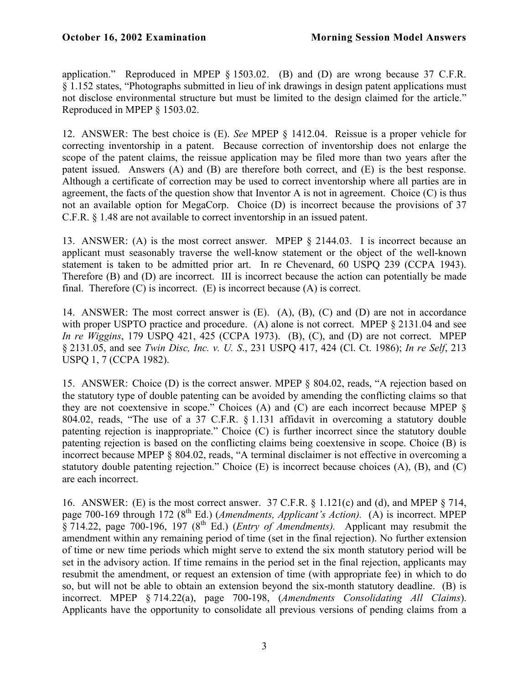application." Reproduced in MPEP § 1503.02. (B) and (D) are wrong because 37 C.F.R. § 1.152 states, "Photographs submitted in lieu of ink drawings in design patent applications must not disclose environmental structure but must be limited to the design claimed for the article." Reproduced in MPEP § 1503.02.

12. ANSWER: The best choice is (E). *See* MPEP § 1412.04. Reissue is a proper vehicle for correcting inventorship in a patent. Because correction of inventorship does not enlarge the scope of the patent claims, the reissue application may be filed more than two years after the patent issued. Answers (A) and (B) are therefore both correct, and (E) is the best response. Although a certificate of correction may be used to correct inventorship where all parties are in agreement, the facts of the question show that Inventor A is not in agreement. Choice (C) is thus not an available option for MegaCorp. Choice (D) is incorrect because the provisions of 37 C.F.R. § 1.48 are not available to correct inventorship in an issued patent.

13. ANSWER: (A) is the most correct answer. MPEP § 2144.03. I is incorrect because an applicant must seasonably traverse the well-know statement or the object of the well-known statement is taken to be admitted prior art. In re Chevenard, 60 USPQ 239 (CCPA 1943). Therefore (B) and (D) are incorrect. III is incorrect because the action can potentially be made final. Therefore  $(C)$  is incorrect.  $(E)$  is incorrect because  $(A)$  is correct.

14. ANSWER: The most correct answer is (E). (A), (B), (C) and (D) are not in accordance with proper USPTO practice and procedure. (A) alone is not correct. MPEP  $\S 2131.04$  and see *In re Wiggins*, 179 USPQ 421, 425 (CCPA 1973). (B), (C), and (D) are not correct. MPEP § 2131.05, and see *Twin Disc, Inc. v. U. S*., 231 USPQ 417, 424 (Cl. Ct. 1986); *In re Self*, 213 USPQ 1, 7 (CCPA 1982).

15. ANSWER: Choice (D) is the correct answer. MPEP § 804.02, reads, "A rejection based on the statutory type of double patenting can be avoided by amending the conflicting claims so that they are not coextensive in scope." Choices (A) and (C) are each incorrect because MPEP § 804.02, reads, "The use of a 37 C.F.R. § 1.131 affidavit in overcoming a statutory double patenting rejection is inappropriate." Choice (C) is further incorrect since the statutory double patenting rejection is based on the conflicting claims being coextensive in scope. Choice (B) is incorrect because MPEP § 804.02, reads, "A terminal disclaimer is not effective in overcoming a statutory double patenting rejection." Choice (E) is incorrect because choices (A), (B), and (C) are each incorrect.

16. ANSWER: (E) is the most correct answer. 37 C.F.R. § 1.121(c) and (d), and MPEP § 714, page 700-169 through 172 (8<sup>th</sup> Ed.) (*Amendments, Applicant's Action*). (A) is incorrect. MPEP § 714.22, page 700-196, 197 (8<sup>th</sup> Ed.) (*Entry of Amendments*). Applicant may resubmit the amendment within any remaining period of time (set in the final rejection). No further extension of time or new time periods which might serve to extend the six month statutory period will be set in the advisory action. If time remains in the period set in the final rejection, applicants may resubmit the amendment, or request an extension of time (with appropriate fee) in which to do so, but will not be able to obtain an extension beyond the six-month statutory deadline. (B) is incorrect. MPEP § 714.22(a), page 700-198, (*Amendments Consolidating All Claims*). Applicants have the opportunity to consolidate all previous versions of pending claims from a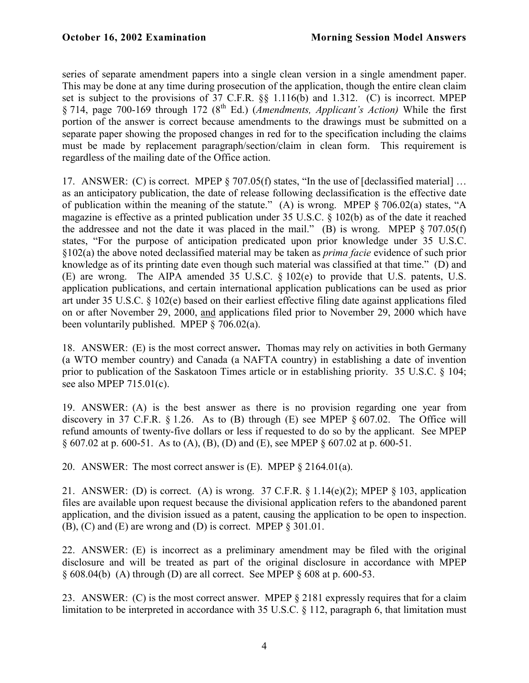series of separate amendment papers into a single clean version in a single amendment paper. This may be done at any time during prosecution of the application, though the entire clean claim set is subject to the provisions of 37 C.F.R. §§ 1.116(b) and 1.312. (C) is incorrect. MPEP § 714, page 700-169 through 172 (8th Ed.) (*Amendments, Applicant's Action)* While the first portion of the answer is correct because amendments to the drawings must be submitted on a separate paper showing the proposed changes in red for to the specification including the claims must be made by replacement paragraph/section/claim in clean form. This requirement is regardless of the mailing date of the Office action.

17. ANSWER: (C) is correct. MPEP § 707.05(f) states, "In the use of [declassified material] … as an anticipatory publication, the date of release following declassification is the effective date of publication within the meaning of the statute." (A) is wrong. MPEP § 706.02(a) states, "A magazine is effective as a printed publication under 35 U.S.C. § 102(b) as of the date it reached the addressee and not the date it was placed in the mail." (B) is wrong. MPEP  $\S 707.05(f)$ states, "For the purpose of anticipation predicated upon prior knowledge under 35 U.S.C. §102(a) the above noted declassified material may be taken as *prima facie* evidence of such prior knowledge as of its printing date even though such material was classified at that time." (D) and (E) are wrong. The AIPA amended 35 U.S.C. § 102(e) to provide that U.S. patents, U.S. application publications, and certain international application publications can be used as prior art under 35 U.S.C. § 102(e) based on their earliest effective filing date against applications filed on or after November 29, 2000, and applications filed prior to November 29, 2000 which have been voluntarily published. MPEP § 706.02(a).

18. ANSWER: (E) is the most correct answer**.** Thomas may rely on activities in both Germany (a WTO member country) and Canada (a NAFTA country) in establishing a date of invention prior to publication of the Saskatoon Times article or in establishing priority. 35 U.S.C. § 104; see also MPEP 715.01(c).

19. ANSWER: (A) is the best answer as there is no provision regarding one year from discovery in 37 C.F.R.  $\S 1.26$ . As to (B) through (E) see MPEP  $\S 607.02$ . The Office will refund amounts of twenty-five dollars or less if requested to do so by the applicant. See MPEP § 607.02 at p. 600-51. As to (A), (B), (D) and (E), see MPEP § 607.02 at p. 600-51.

20. ANSWER: The most correct answer is (E). MPEP § 2164.01(a).

21. ANSWER: (D) is correct. (A) is wrong. 37 C.F.R.  $\S 1.14(e)(2)$ ; MPEP  $\S 103$ , application files are available upon request because the divisional application refers to the abandoned parent application, and the division issued as a patent, causing the application to be open to inspection. (B), (C) and (E) are wrong and (D) is correct. MPEP § 301.01.

22. ANSWER: (E) is incorrect as a preliminary amendment may be filed with the original disclosure and will be treated as part of the original disclosure in accordance with MPEP  $§ 608.04(b)$  (A) through (D) are all correct. See MPEP  $§ 608$  at p. 600-53.

23. ANSWER: (C) is the most correct answer. MPEP § 2181 expressly requires that for a claim limitation to be interpreted in accordance with 35 U.S.C. § 112, paragraph 6, that limitation must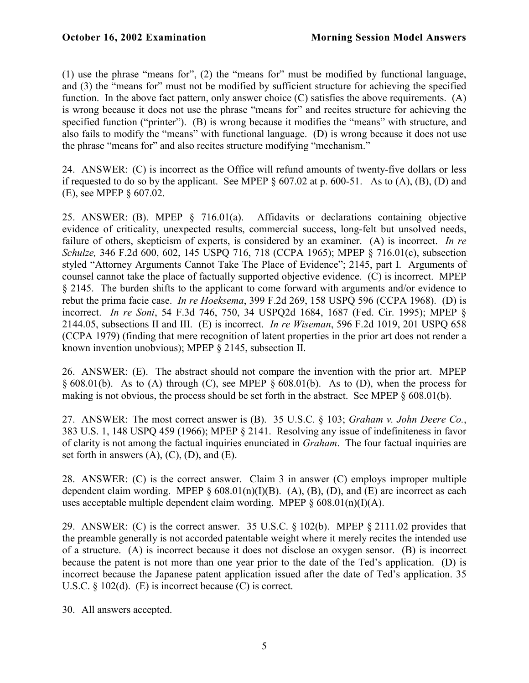(1) use the phrase "means for", (2) the "means for" must be modified by functional language, and (3) the "means for" must not be modified by sufficient structure for achieving the specified function. In the above fact pattern, only answer choice  $(C)$  satisfies the above requirements.  $(A)$ is wrong because it does not use the phrase "means for" and recites structure for achieving the specified function ("printer"). (B) is wrong because it modifies the "means" with structure, and also fails to modify the "means" with functional language. (D) is wrong because it does not use the phrase "means for" and also recites structure modifying "mechanism."

24. ANSWER: (C) is incorrect as the Office will refund amounts of twenty-five dollars or less if requested to do so by the applicant. See MPEP  $\S 607.02$  at p. 600-51. As to (A), (B), (D) and (E), see MPEP § 607.02.

25. ANSWER: (B). MPEP § 716.01(a). Affidavits or declarations containing objective evidence of criticality, unexpected results, commercial success, long-felt but unsolved needs, failure of others, skepticism of experts, is considered by an examiner. (A) is incorrect. *In re Schulze,* 346 F.2d 600, 602, 145 USPQ 716, 718 (CCPA 1965); MPEP § 716.01(c), subsection styled "Attorney Arguments Cannot Take The Place of Evidence"; 2145, part I. Arguments of counsel cannot take the place of factually supported objective evidence. (C) is incorrect. MPEP § 2145. The burden shifts to the applicant to come forward with arguments and/or evidence to rebut the prima facie case. *In re Hoeksema*, 399 F.2d 269, 158 USPQ 596 (CCPA 1968). (D) is incorrect. *In re Soni*, 54 F.3d 746, 750, 34 USPQ2d 1684, 1687 (Fed. Cir. 1995); MPEP § 2144.05, subsections II and III. (E) is incorrect. *In re Wiseman*, 596 F.2d 1019, 201 USPQ 658 (CCPA 1979) (finding that mere recognition of latent properties in the prior art does not render a known invention unobvious); MPEP § 2145, subsection II.

26. ANSWER: (E). The abstract should not compare the invention with the prior art. MPEP  $\S$  608.01(b). As to (A) through (C), see MPEP  $\S$  608.01(b). As to (D), when the process for making is not obvious, the process should be set forth in the abstract. See MPEP § 608.01(b).

27. ANSWER: The most correct answer is (B). 35 U.S.C. § 103; *Graham v. John Deere Co.*, 383 U.S. 1, 148 USPQ 459 (1966); MPEP § 2141. Resolving any issue of indefiniteness in favor of clarity is not among the factual inquiries enunciated in *Graham*. The four factual inquiries are set forth in answers  $(A)$ ,  $(C)$ ,  $(D)$ , and  $(E)$ .

28. ANSWER: (C) is the correct answer. Claim 3 in answer (C) employs improper multiple dependent claim wording. MPEP  $\S 608.01(n)(I)(B)$ . (A), (B), (D), and (E) are incorrect as each uses acceptable multiple dependent claim wording. MPEP  $\S 608.01(n)(I)(A)$ .

29. ANSWER: (C) is the correct answer. 35 U.S.C. § 102(b). MPEP § 2111.02 provides that the preamble generally is not accorded patentable weight where it merely recites the intended use of a structure. (A) is incorrect because it does not disclose an oxygen sensor. (B) is incorrect because the patent is not more than one year prior to the date of the Ted's application. (D) is incorrect because the Japanese patent application issued after the date of Ted's application. 35 U.S.C. § 102(d). (E) is incorrect because (C) is correct.

30. All answers accepted.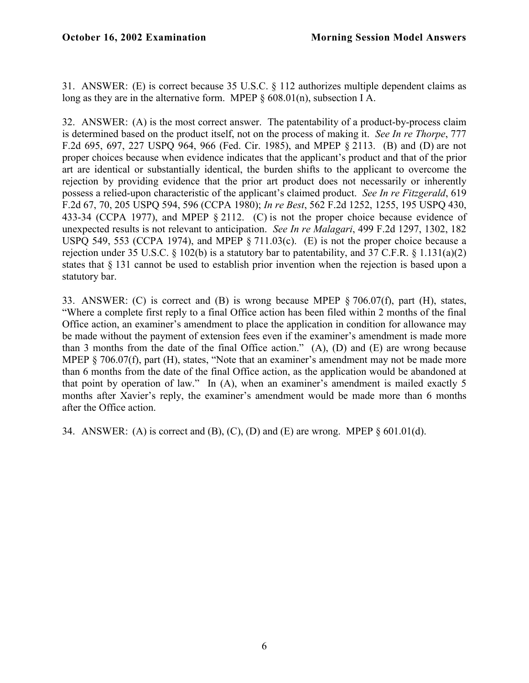31. ANSWER: (E) is correct because 35 U.S.C. § 112 authorizes multiple dependent claims as long as they are in the alternative form. MPEP § 608.01(n), subsection I A.

32. ANSWER: (A) is the most correct answer. The patentability of a product-by-process claim is determined based on the product itself, not on the process of making it. *See In re Thorpe*, 777 F.2d 695, 697, 227 USPQ 964, 966 (Fed. Cir. 1985), and MPEP § 2113. (B) and (D) are not proper choices because when evidence indicates that the applicant's product and that of the prior art are identical or substantially identical, the burden shifts to the applicant to overcome the rejection by providing evidence that the prior art product does not necessarily or inherently possess a relied-upon characteristic of the applicant's claimed product. *See In re Fitzgerald*, 619 F.2d 67, 70, 205 USPQ 594, 596 (CCPA 1980); *In re Best*, 562 F.2d 1252, 1255, 195 USPQ 430, 433-34 (CCPA 1977), and MPEP § 2112. (C) is not the proper choice because evidence of unexpected results is not relevant to anticipation. *See In re Malagari*, 499 F.2d 1297, 1302, 182 USPQ 549, 553 (CCPA 1974), and MPEP § 711.03(c). (E) is not the proper choice because a rejection under 35 U.S.C.  $\delta$  102(b) is a statutory bar to patentability, and 37 C.F.R.  $\delta$  1.131(a)(2) states that § 131 cannot be used to establish prior invention when the rejection is based upon a statutory bar.

33. ANSWER: (C) is correct and (B) is wrong because MPEP § 706.07(f), part (H), states, "Where a complete first reply to a final Office action has been filed within 2 months of the final Office action, an examiner's amendment to place the application in condition for allowance may be made without the payment of extension fees even if the examiner's amendment is made more than 3 months from the date of the final Office action." (A), (D) and (E) are wrong because MPEP § 706.07(f), part (H), states, "Note that an examiner's amendment may not be made more than 6 months from the date of the final Office action, as the application would be abandoned at that point by operation of law." In (A), when an examiner's amendment is mailed exactly 5 months after Xavier's reply, the examiner's amendment would be made more than 6 months after the Office action.

34. ANSWER: (A) is correct and (B), (C), (D) and (E) are wrong. MPEP  $\S 601.01(d)$ .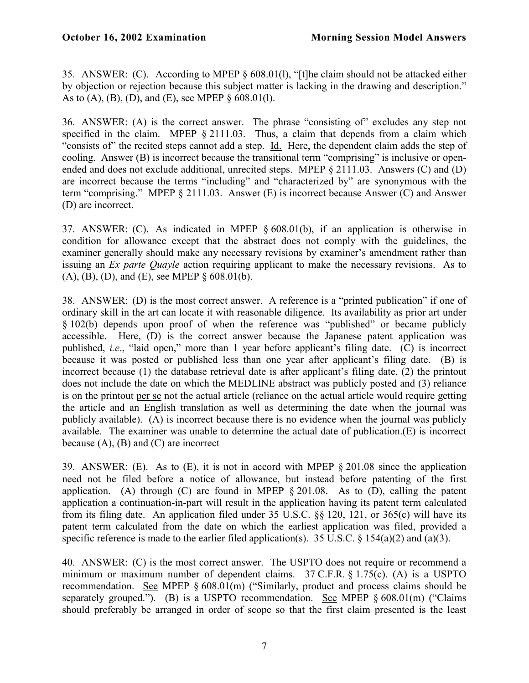35. ANSWER: (C). According to MPEP § 608.01(l), "[t]he claim should not be attacked either by objection or rejection because this subject matter is lacking in the drawing and description." As to (A), (B), (D), and (E), see MPEP  $\S 608.01(1)$ .

36. ANSWER: (A) is the correct answer. The phrase "consisting of" excludes any step not specified in the claim. MPEP § 2111.03. Thus, a claim that depends from a claim which "consists of" the recited steps cannot add a step. Id. Here, the dependent claim adds the step of cooling. Answer (B) is incorrect because the transitional term "comprising" is inclusive or openended and does not exclude additional, unrecited steps. MPEP § 2111.03. Answers (C) and (D) are incorrect because the terms "including" and "characterized by" are synonymous with the term "comprising." MPEP § 2111.03. Answer (E) is incorrect because Answer (C) and Answer (D) are incorrect.

37. ANSWER: (C). As indicated in MPEP § 608.01(b), if an application is otherwise in condition for allowance except that the abstract does not comply with the guidelines, the examiner generally should make any necessary revisions by examiner's amendment rather than issuing an *Ex parte Quayle* action requiring applicant to make the necessary revisions. As to (A), (B), (D), and (E), see MPEP § 608.01(b).

38. ANSWER: (D) is the most correct answer. A reference is a "printed publication" if one of ordinary skill in the art can locate it with reasonable diligence. Its availability as prior art under § 102(b) depends upon proof of when the reference was "published" or became publicly accessible. Here, (D) is the correct answer because the Japanese patent application was published, *i.e*., "laid open," more than 1 year before applicant's filing date. (C) is incorrect because it was posted or published less than one year after applicant's filing date. (B) is incorrect because (1) the database retrieval date is after applicant's filing date, (2) the printout does not include the date on which the MEDLINE abstract was publicly posted and (3) reliance is on the printout per se not the actual article (reliance on the actual article would require getting the article and an English translation as well as determining the date when the journal was publicly available). (A) is incorrect because there is no evidence when the journal was publicly available. The examiner was unable to determine the actual date of publication.(E) is incorrect because  $(A)$ ,  $(B)$  and  $(C)$  are incorrect

39. ANSWER: (E). As to (E), it is not in accord with MPEP § 201.08 since the application need not be filed before a notice of allowance, but instead before patenting of the first application. (A) through (C) are found in MPEP  $\S 201.08$ . As to (D), calling the patent application a continuation-in-part will result in the application having its patent term calculated from its filing date. An application filed under 35 U.S.C. §§ 120, 121, or 365(c) will have its patent term calculated from the date on which the earliest application was filed, provided a specific reference is made to the earlier filed application(s). 35 U.S.C.  $\S$  154(a)(2) and (a)(3).

40. ANSWER: (C) is the most correct answer. The USPTO does not require or recommend a minimum or maximum number of dependent claims. 37 C.F.R. § 1.75(c). (A) is a USPTO recommendation. See MPEP § 608.01(m) ("Similarly, product and process claims should be separately grouped."). (B) is a USPTO recommendation. See MPEP  $\S 608.01$ (m) ("Claims" should preferably be arranged in order of scope so that the first claim presented is the least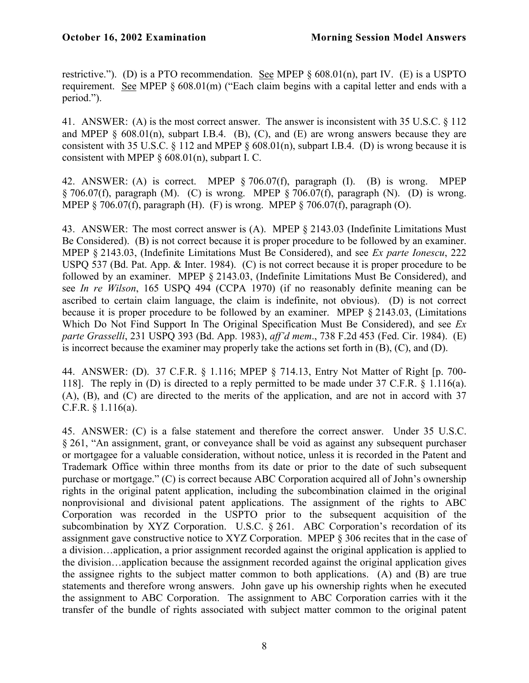restrictive."). (D) is a PTO recommendation. See MPEP § 608.01(n), part IV. (E) is a USPTO requirement. See MPEP § 608.01(m) ("Each claim begins with a capital letter and ends with a period.").

41. ANSWER: (A) is the most correct answer. The answer is inconsistent with 35 U.S.C. § 112 and MPEP  $\delta$  608.01(n), subpart I.B.4. (B), (C), and (E) are wrong answers because they are consistent with 35 U.S.C. § 112 and MPEP § 608.01(n), subpart I.B.4. (D) is wrong because it is consistent with MPEP  $\S$  608.01(n), subpart I. C.

42. ANSWER: (A) is correct. MPEP § 706.07(f), paragraph (I). (B) is wrong. MPEP  $\S$  706.07(f), paragraph (M). (C) is wrong. MPEP  $\S$  706.07(f), paragraph (N). (D) is wrong. MPEP  $\S$  706.07(f), paragraph (H). (F) is wrong. MPEP  $\S$  706.07(f), paragraph (O).

43. ANSWER: The most correct answer is (A). MPEP § 2143.03 (Indefinite Limitations Must Be Considered). (B) is not correct because it is proper procedure to be followed by an examiner. MPEP § 2143.03, (Indefinite Limitations Must Be Considered), and see *Ex parte Ionescu*, 222 USPQ 537 (Bd. Pat. App. & Inter. 1984). (C) is not correct because it is proper procedure to be followed by an examiner. MPEP § 2143.03, (Indefinite Limitations Must Be Considered), and see *In re Wilson*, 165 USPQ 494 (CCPA 1970) (if no reasonably definite meaning can be ascribed to certain claim language, the claim is indefinite, not obvious). (D) is not correct because it is proper procedure to be followed by an examiner. MPEP § 2143.03, (Limitations Which Do Not Find Support In The Original Specification Must Be Considered), and see *Ex parte Grasselli*, 231 USPQ 393 (Bd. App. 1983), *aff'd mem*., 738 F.2d 453 (Fed. Cir. 1984). (E) is incorrect because the examiner may properly take the actions set forth in (B), (C), and (D).

44. ANSWER: (D). 37 C.F.R. § 1.116; MPEP § 714.13, Entry Not Matter of Right [p. 700- 118]. The reply in (D) is directed to a reply permitted to be made under 37 C.F.R. § 1.116(a). (A), (B), and (C) are directed to the merits of the application, and are not in accord with 37 C.F.R. § 1.116(a).

45. ANSWER: (C) is a false statement and therefore the correct answer. Under 35 U.S.C. § 261, "An assignment, grant, or conveyance shall be void as against any subsequent purchaser or mortgagee for a valuable consideration, without notice, unless it is recorded in the Patent and Trademark Office within three months from its date or prior to the date of such subsequent purchase or mortgage." (C) is correct because ABC Corporation acquired all of John's ownership rights in the original patent application, including the subcombination claimed in the original nonprovisional and divisional patent applications. The assignment of the rights to ABC Corporation was recorded in the USPTO prior to the subsequent acquisition of the subcombination by XYZ Corporation. U.S.C. § 261. ABC Corporation's recordation of its assignment gave constructive notice to XYZ Corporation. MPEP § 306 recites that in the case of a division…application, a prior assignment recorded against the original application is applied to the division…application because the assignment recorded against the original application gives the assignee rights to the subject matter common to both applications. (A) and (B) are true statements and therefore wrong answers. John gave up his ownership rights when he executed the assignment to ABC Corporation. The assignment to ABC Corporation carries with it the transfer of the bundle of rights associated with subject matter common to the original patent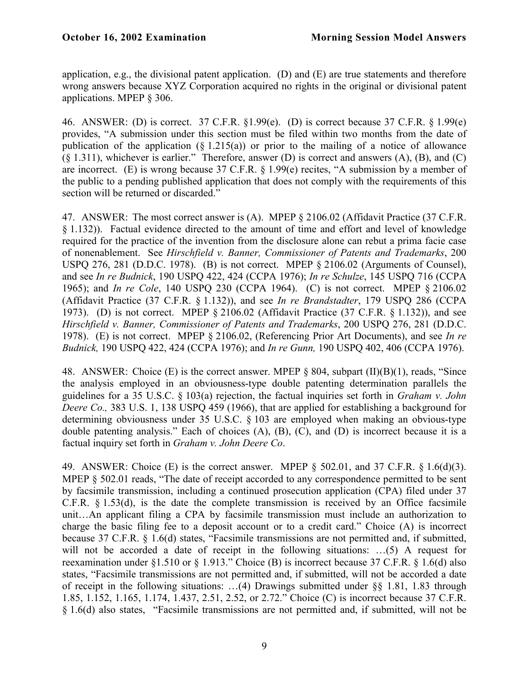application, e.g., the divisional patent application. (D) and (E) are true statements and therefore wrong answers because XYZ Corporation acquired no rights in the original or divisional patent applications. MPEP § 306.

46. ANSWER: (D) is correct. 37 C.F.R. §1.99(e). (D) is correct because 37 C.F.R. § 1.99(e) provides, "A submission under this section must be filed within two months from the date of publication of the application  $(\S 1.215(a))$  or prior to the mailing of a notice of allowance (§ 1.311), whichever is earlier." Therefore, answer (D) is correct and answers (A), (B), and (C) are incorrect. (E) is wrong because 37 C.F.R. § 1.99(e) recites, "A submission by a member of the public to a pending published application that does not comply with the requirements of this section will be returned or discarded."

47. ANSWER: The most correct answer is (A). MPEP § 2106.02 (Affidavit Practice (37 C.F.R. § 1.132)). Factual evidence directed to the amount of time and effort and level of knowledge required for the practice of the invention from the disclosure alone can rebut a prima facie case of nonenablement. See *Hirschfield v. Banner, Commissioner of Patents and Trademarks*, 200 USPQ 276, 281 (D.D.C. 1978). (B) is not correct. MPEP § 2106.02 (Arguments of Counsel), and see *In re Budnick*, 190 USPQ 422, 424 (CCPA 1976); *In re Schulze*, 145 USPQ 716 (CCPA 1965); and *In re Cole*, 140 USPQ 230 (CCPA 1964). (C) is not correct. MPEP § 2106.02 (Affidavit Practice (37 C.F.R. § 1.132)), and see *In re Brandstadter*, 179 USPQ 286 (CCPA 1973). (D) is not correct. MPEP § 2106.02 (Affidavit Practice (37 C.F.R. § 1.132)), and see *Hirschfield v. Banner, Commissioner of Patents and Trademarks*, 200 USPQ 276, 281 (D.D.C. 1978). (E) is not correct. MPEP § 2106.02, (Referencing Prior Art Documents), and see *In re Budnick,* 190 USPQ 422, 424 (CCPA 1976); and *In re Gunn,* 190 USPQ 402, 406 (CCPA 1976).

48. ANSWER: Choice (E) is the correct answer. MPEP § 804, subpart (II)(B)(1), reads, "Since the analysis employed in an obviousness-type double patenting determination parallels the guidelines for a 35 U.S.C. § 103(a) rejection, the factual inquiries set forth in *Graham v. John Deere Co.,* 383 U.S. 1, 138 USPQ 459 (1966), that are applied for establishing a background for determining obviousness under 35 U.S.C. § 103 are employed when making an obvious-type double patenting analysis." Each of choices (A), (B), (C), and (D) is incorrect because it is a factual inquiry set forth in *Graham v. John Deere Co*.

49. ANSWER: Choice (E) is the correct answer. MPEP § 502.01, and 37 C.F.R. § 1.6(d)(3). MPEP § 502.01 reads, "The date of receipt accorded to any correspondence permitted to be sent by facsimile transmission, including a continued prosecution application (CPA) filed under 37 C.F.R. § 1.53(d), is the date the complete transmission is received by an Office facsimile unit…An applicant filing a CPA by facsimile transmission must include an authorization to charge the basic filing fee to a deposit account or to a credit card." Choice (A) is incorrect because 37 C.F.R. § 1.6(d) states, "Facsimile transmissions are not permitted and, if submitted, will not be accorded a date of receipt in the following situations: ...(5) A request for reexamination under §1.510 or § 1.913." Choice (B) is incorrect because 37 C.F.R. § 1.6(d) also states, "Facsimile transmissions are not permitted and, if submitted, will not be accorded a date of receipt in the following situations: ...(4) Drawings submitted under  $\S$ § 1.81, 1.83 through 1.85, 1.152, 1.165, 1.174, 1.437, 2.51, 2.52, or 2.72." Choice (C) is incorrect because 37 C.F.R. § 1.6(d) also states, "Facsimile transmissions are not permitted and, if submitted, will not be